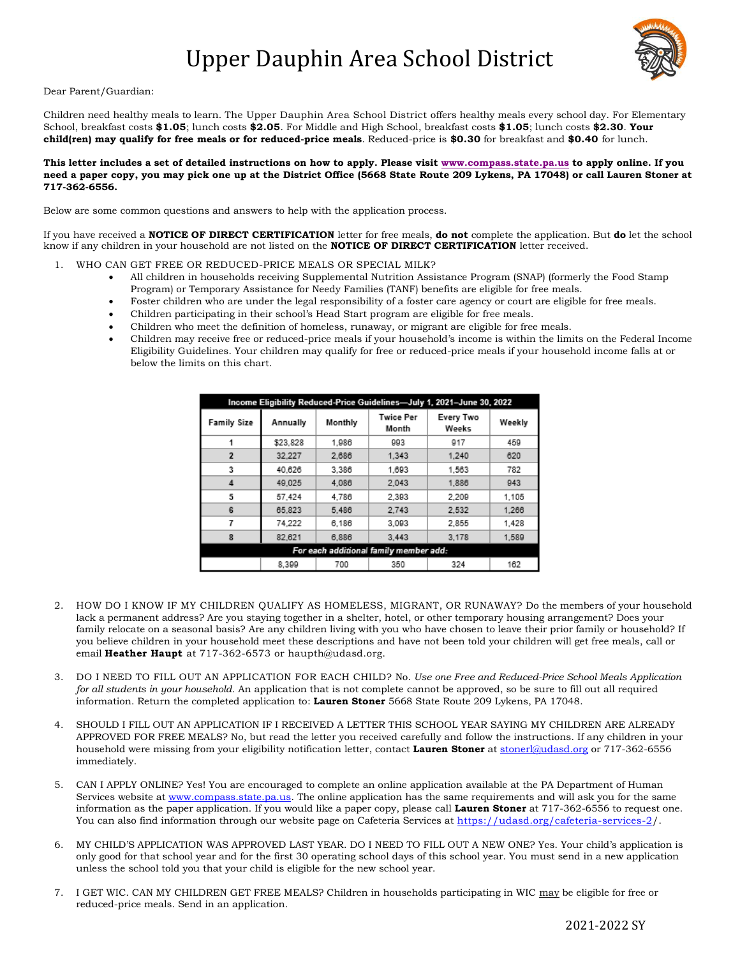## Upper Dauphin Area School District



## Dear Parent/Guardian:

Children need healthy meals to learn. The Upper Dauphin Area School District offers healthy meals every school day. For Elementary School, breakfast costs **\$1.05**; lunch costs **\$2.05**. For Middle and High School, breakfast costs **\$1.05**; lunch costs **\$2.30**. **Your child(ren) may qualify for free meals or for reduced-price meals**. Reduced-price is **\$0.30** for breakfast and **\$0.40** for lunch.

## **This letter includes a set of detailed instructions on how to apply. Please visit [www.compass.state.pa.us](http://www.compass.state.pa.us/) to apply online. If you need a paper copy, you may pick one up at the District Office (5668 State Route 209 Lykens, PA 17048) or call Lauren Stoner at 717-362-6556.**

Below are some common questions and answers to help with the application process.

If you have received a **NOTICE OF DIRECT CERTIFICATION** letter for free meals, **do not** complete the application. But **do** let the school know if any children in your household are not listed on the **NOTICE OF DIRECT CERTIFICATION** letter received.

- 1. WHO CAN GET FREE OR REDUCED-PRICE MEALS OR SPECIAL MILK?
	- All children in households receiving Supplemental Nutrition Assistance Program (SNAP) (formerly the Food Stamp Program) or Temporary Assistance for Needy Families (TANF) benefits are eligible for free meals.
	- Foster children who are under the legal responsibility of a foster care agency or court are eligible for free meals.
	- Children participating in their school's Head Start program are eligible for free meals.
	- Children who meet the definition of homeless, runaway, or migrant are eligible for free meals.
	- Children may receive free or reduced-price meals if your household's income is within the limits on the Federal Income Eligibility Guidelines. Your children may qualify for free or reduced-price meals if your household income falls at or below the limits on this chart.

| Income Eligibility Reduced-Price Guidelines-July 1, 2021-June 30, 2022 |          |         |                           |                    |        |
|------------------------------------------------------------------------|----------|---------|---------------------------|--------------------|--------|
| <b>Family Size</b>                                                     | Annually | Monthly | <b>Twice Per</b><br>Month | Every Two<br>Weeks | Weekly |
|                                                                        | \$23,828 | 1.986   | 993                       | 917                | 459    |
| $\overline{2}$                                                         | 32.227   | 2.686   | 1.343                     | 1.240              | 620    |
| 3                                                                      | 40.626   | 3.386   | 1.693                     | 1.563              | 782    |
| 4                                                                      | 49.025   | 4.086   | 2.043                     | 1.886              | 943    |
| 5                                                                      | 57.424   | 4.786   | 2.393                     | 2.209              | 1,105  |
| 6                                                                      | 65.823   | 5.486   | 2.743                     | 2.532              | 1,266  |
| 7                                                                      | 74.222   | 6.186   | 3.093                     | 2.855              | 1.428  |
| 8                                                                      | 82.621   | 6,886   | 3.443                     | 3.178              | 1,589  |
| For each additional family member add:                                 |          |         |                           |                    |        |
|                                                                        | 8.399    | 700     | 350                       | 324                | 162    |

- 2. HOW DO I KNOW IF MY CHILDREN QUALIFY AS HOMELESS, MIGRANT, OR RUNAWAY? Do the members of your household lack a permanent address? Are you staying together in a shelter, hotel, or other temporary housing arrangement? Does your family relocate on a seasonal basis? Are any children living with you who have chosen to leave their prior family or household? If you believe children in your household meet these descriptions and have not been told your children will get free meals, call or email **Heather Haupt** at 717-362-6573 or haupth@udasd.org.
- 3. DO I NEED TO FILL OUT AN APPLICATION FOR EACH CHILD? No. *Use one Free and Reduced-Price School Meals Application for all students in your household.* An application that is not complete cannot be approved, so be sure to fill out all required information. Return the completed application to: **Lauren Stoner** 5668 State Route 209 Lykens, PA 17048.
- 4. SHOULD I FILL OUT AN APPLICATION IF I RECEIVED A LETTER THIS SCHOOL YEAR SAYING MY CHILDREN ARE ALREADY APPROVED FOR FREE MEALS? No, but read the letter you received carefully and follow the instructions. If any children in your household were missing from your eligibility notification letter, contact **Lauren Stoner** at [stonerl@udasd.org](mailto:stonerl@udasd.org) or 717-362-6556 immediately.
- 5. CAN I APPLY ONLINE? Yes! You are encouraged to complete an online application available at the PA Department of Human Services website a[t www.compass.state.pa.us.](http://www.compass.state.pa.us/) The online application has the same requirements and will ask you for the same information as the paper application. If you would like a paper copy, please call **Lauren Stoner** at 717-362-6556 to request one. You can also find information through our website page on Cafeteria Services at [https://udasd.org/cafeteria-services-2/.](https://udasd.org/cafeteria-services-2/)
- 6. MY CHILD'S APPLICATION WAS APPROVED LAST YEAR. DO I NEED TO FILL OUT A NEW ONE? Yes. Your child's application is only good for that school year and for the first 30 operating school days of this school year. You must send in a new application unless the school told you that your child is eligible for the new school year.
- 7. I GET WIC. CAN MY CHILDREN GET FREE MEALS? Children in households participating in WIC may be eligible for free or reduced-price meals. Send in an application.